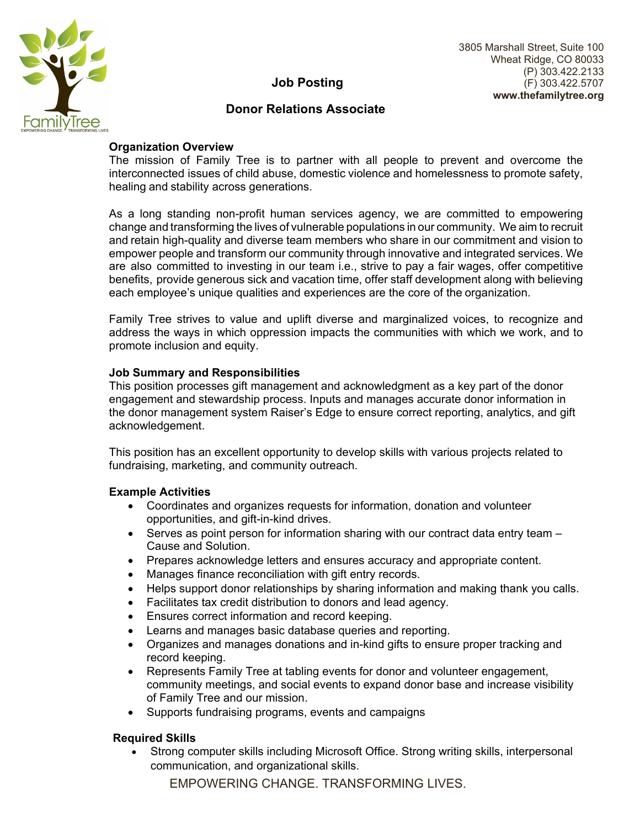

# **Job Posting**

## **Donor Relations Associate**

### **Organization Overview**

The mission of Family Tree is to partner with all people to prevent and overcome the interconnected issues of child abuse, domestic violence and homelessness to promote safety, healing and stability across generations.

As a long standing non-profit human services agency, we are committed to empowering change and transforming the lives of vulnerable populations in our community. We aim to recruit and retain high-quality and diverse team members who share in our commitment and vision to empower people and transform our community through innovative and integrated services. We are also committed to investing in our team i.e., strive to pay a fair wages, offer competitive benefits, provide generous sick and vacation time, offer staff development along with believing each employee's unique qualities and experiences are the core of the organization.

Family Tree strives to value and uplift diverse and marginalized voices, to recognize and address the ways in which oppression impacts the communities with which we work, and to promote inclusion and equity.

#### **Job Summary and Responsibilities**

This position processes gift management and acknowledgment as a key part of the donor engagement and stewardship process. Inputs and manages accurate donor information in the donor management system Raiser's Edge to ensure correct reporting, analytics, and gift acknowledgement.

This position has an excellent opportunity to develop skills with various projects related to fundraising, marketing, and community outreach.

### **Example Activities**

- Coordinates and organizes requests for information, donation and volunteer opportunities, and gift-in-kind drives.
- Serves as point person for information sharing with our contract data entry team Cause and Solution.
- Prepares acknowledge letters and ensures accuracy and appropriate content.
- Manages finance reconciliation with gift entry records.
- Helps support donor relationships by sharing information and making thank you calls.
- Facilitates tax credit distribution to donors and lead agency.
- Ensures correct information and record keeping.
- Learns and manages basic database queries and reporting.
- Organizes and manages donations and in-kind gifts to ensure proper tracking and record keeping.
- Represents Family Tree at tabling events for donor and volunteer engagement, community meetings, and social events to expand donor base and increase visibility of Family Tree and our mission.
- Supports fundraising programs, events and campaigns

### **Required Skills**

 Strong computer skills including Microsoft Office. Strong writing skills, interpersonal communication, and organizational skills.

EMPOWERING CHANGE. TRANSFORMING LIVES.